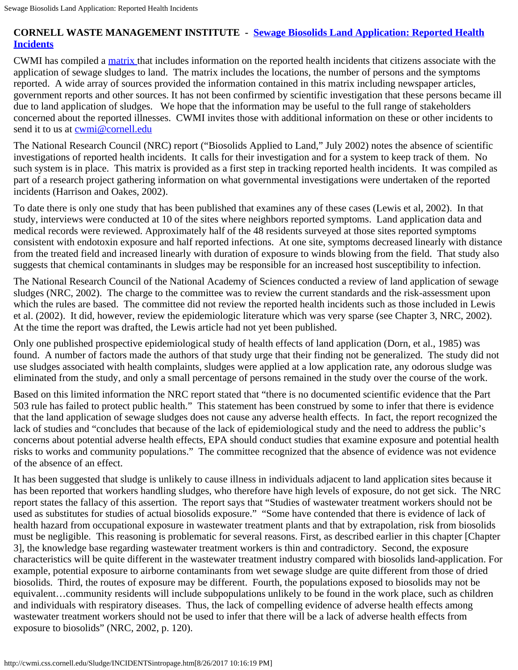## **CORNELL WASTE MANAGEMENT INSTITUTE - [Sewage Biosolids Land Application: Reported Health](http://cwmi.css.cornell.edu/Sludge/incidents.htm) [Incidents](http://cwmi.css.cornell.edu/Sludge/incidents.htm)**

CWMI has compiled a [matrix](http://cwmi.css.cornell.edu/Sludge/incidents.htm) that includes information on the reported health incidents that citizens associate with the application of sewage sludges to land. The matrix includes the locations, the number of persons and the symptoms reported. A wide array of sources provided the information contained in this matrix including newspaper articles, government reports and other sources. It has not been confirmed by scientific investigation that these persons became ill due to land application of sludges. We hope that the information may be useful to the full range of stakeholders concerned about the reported illnesses. CWMI invites those with additional information on these or other incidents to send it to us at [cwmi@cornell.edu](mailto:cwmi@cornell.edu)

The National Research Council (NRC) report ("Biosolids Applied to Land," July 2002) notes the absence of scientific investigations of reported health incidents. It calls for their investigation and for a system to keep track of them. No such system is in place. This matrix is provided as a first step in tracking reported health incidents. It was compiled as part of a research project gathering information on what governmental investigations were undertaken of the reported incidents (Harrison and Oakes, 2002).

To date there is only one study that has been published that examines any of these cases (Lewis et al, 2002). In that study, interviews were conducted at 10 of the sites where neighbors reported symptoms. Land application data and medical records were reviewed. Approximately half of the 48 residents surveyed at those sites reported symptoms consistent with endotoxin exposure and half reported infections. At one site, symptoms decreased linearly with distance from the treated field and increased linearly with duration of exposure to winds blowing from the field. That study also suggests that chemical contaminants in sludges may be responsible for an increased host susceptibility to infection.

The National Research Council of the National Academy of Sciences conducted a review of land application of sewage sludges (NRC, 2002). The charge to the committee was to review the current standards and the risk-assessment upon which the rules are based. The committee did not review the reported health incidents such as those included in Lewis et al. (2002). It did, however, review the epidemiologic literature which was very sparse (see Chapter 3, NRC, 2002). At the time the report was drafted, the Lewis article had not yet been published.

Only one published prospective epidemiological study of health effects of land application (Dorn, et al., 1985) was found. A number of factors made the authors of that study urge that their finding not be generalized. The study did not use sludges associated with health complaints, sludges were applied at a low application rate, any odorous sludge was eliminated from the study, and only a small percentage of persons remained in the study over the course of the work.

Based on this limited information the NRC report stated that "there is no documented scientific evidence that the Part 503 rule has failed to protect public health." This statement has been construed by some to infer that there is evidence that the land application of sewage sludges does not cause any adverse health effects. In fact, the report recognized the lack of studies and "concludes that because of the lack of epidemiological study and the need to address the public's concerns about potential adverse health effects, EPA should conduct studies that examine exposure and potential health risks to works and community populations." The committee recognized that the absence of evidence was not evidence of the absence of an effect.

It has been suggested that sludge is unlikely to cause illness in individuals adjacent to land application sites because it has been reported that workers handling sludges, who therefore have high levels of exposure, do not get sick. The NRC report states the fallacy of this assertion. The report says that "Studies of wastewater treatment workers should not be used as substitutes for studies of actual biosolids exposure." "Some have contended that there is evidence of lack of health hazard from occupational exposure in wastewater treatment plants and that by extrapolation, risk from biosolids must be negligible. This reasoning is problematic for several reasons. First, as described earlier in this chapter [Chapter 3], the knowledge base regarding wastewater treatment workers is thin and contradictory. Second, the exposure characteristics will be quite different in the wastewater treatment industry compared with biosolids land-application. For example, potential exposure to airborne contaminants from wet sewage sludge are quite different from those of dried biosolids. Third, the routes of exposure may be different. Fourth, the populations exposed to biosolids may not be equivalent…community residents will include subpopulations unlikely to be found in the work place, such as children and individuals with respiratory diseases. Thus, the lack of compelling evidence of adverse health effects among wastewater treatment workers should not be used to infer that there will be a lack of adverse health effects from exposure to biosolids" (NRC, 2002, p. 120).